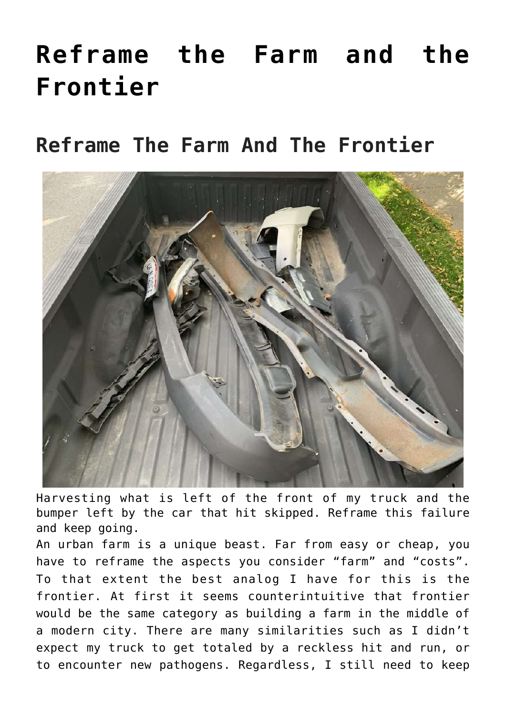# **[Reframe the Farm and the](https://mezzacello.org/2021/10/16/reframe-the-farm-and-the-frontier/) [Frontier](https://mezzacello.org/2021/10/16/reframe-the-farm-and-the-frontier/)**

## **Reframe The Farm And The Frontier**



Harvesting what is left of the front of my truck and the bumper left by the car that hit skipped. Reframe this failure and keep going.

An urban farm is a unique beast. Far from easy or cheap, you have to reframe the aspects you consider "farm" and "costs". To that extent the best analog I have for this is the frontier. At first it seems counterintuitive that frontier would be the same category as building a farm in the middle of a modern city. There are many similarities such as I didn't expect my truck to get totaled by a reckless hit and run, or to encounter new pathogens. Regardless, I still need to keep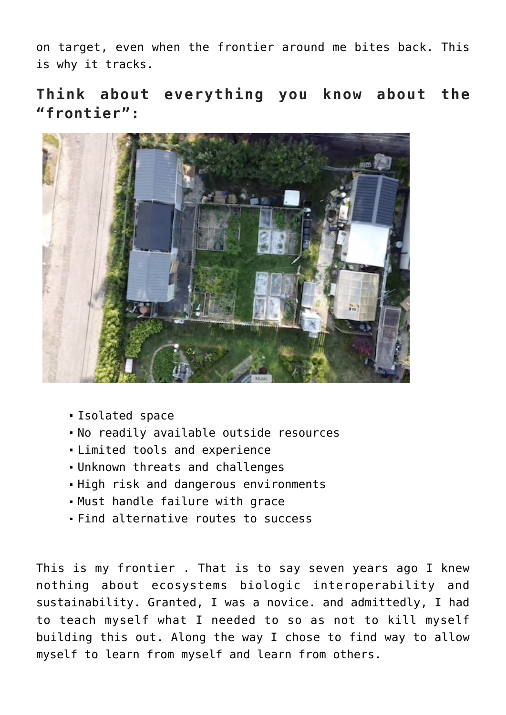on target, even when the frontier around me bites back. This is why it tracks.

#### **Think about everything you know about the "frontier":**



- Isolated space
- No readily available outside resources
- Limited tools and experience
- Unknown threats and challenges
- High risk and dangerous environments
- Must handle failure with grace
- Find alternative routes to success

This is my frontier . That is to say seven years ago I knew nothing about ecosystems biologic interoperability and sustainability. Granted, I was a novice. and admittedly, I had to teach myself what I needed to so as not to kill myself building this out. Along the way I chose to find way to allow myself to learn from myself and learn from others.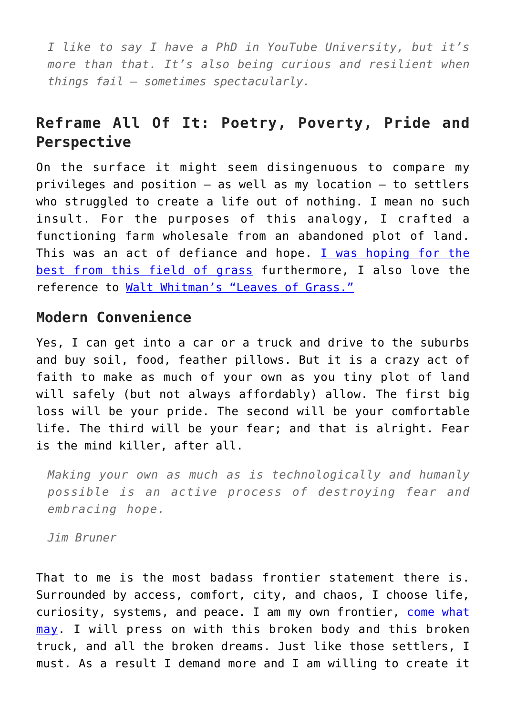*I like to say I have a PhD in YouTube University, but it's more than that. It's also being curious and resilient when things fail – sometimes spectacularly.*

### **Reframe All Of It: Poetry, Poverty, Pride and Perspective**

On the surface it might seem disingenuous to compare my privileges and position – as well as my location – to settlers who struggled to create a life out of nothing. I mean no such insult. For the purposes of this analogy, I crafted a functioning farm wholesale from an abandoned plot of land. This was an act of defiance and hope. [I was hoping for the](http://mezzacello.org/2019/12/29/from-vacant-lot-to-structured-beds/) [best from this field of grass](http://mezzacello.org/2019/12/29/from-vacant-lot-to-structured-beds/) furthermore, I also love the reference to [Walt Whitman's "Leaves of Grass."](https://en.m.wikipedia.org/wiki/Leaves_of_Grass)

### **Modern Convenience**

Yes, I can get into a car or a truck and drive to the suburbs and buy soil, food, feather pillows. But it is a crazy act of faith to make as much of your own as you tiny plot of land will safely (but not always affordably) allow. The first big loss will be your pride. The second will be your comfortable life. The third will be your fear; and that is alright. Fear is the mind killer, after all.

*Making your own as much as is technologically and humanly possible is an active process of destroying fear and embracing hope.*

*Jim Bruner*

That to me is the most badass frontier statement there is. Surrounded by access, comfort, city, and chaos, I choose life, curiosity, systems, and peace. I am my own frontier, [come what](https://www.youtube.com/watch?v=cci5iK7jmXo) [may](https://www.youtube.com/watch?v=cci5iK7jmXo). I will press on with this broken body and this broken truck, and all the broken dreams. Just like those settlers, I must. As a result I demand more and I am willing to create it